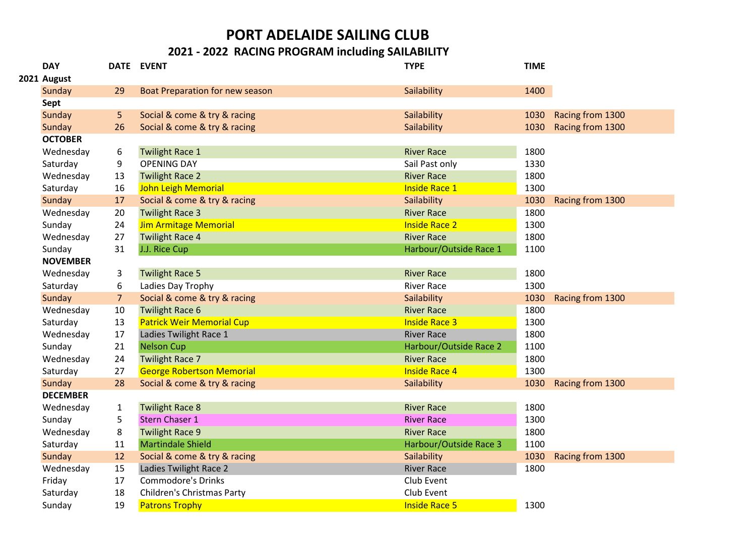## **PORT ADELAIDE SAILING CLUB**

## **2021 - 2022 RACING PROGRAM including SAILABILITY**

| <b>DAY</b>      |                | DATE EVENT                       | <b>TYPE</b>            | <b>TIME</b> |                  |
|-----------------|----------------|----------------------------------|------------------------|-------------|------------------|
| 2021 August     |                |                                  |                        |             |                  |
| Sunday          | 29             | Boat Preparation for new season  | Sailability            | 1400        |                  |
| Sept            |                |                                  |                        |             |                  |
| Sunday          | 5              | Social & come & try & racing     | Sailability            | 1030        | Racing from 1300 |
| Sunday          | 26             | Social & come & try & racing     | Sailability            | 1030        | Racing from 1300 |
| <b>OCTOBER</b>  |                |                                  |                        |             |                  |
| Wednesday       | 6              | <b>Twilight Race 1</b>           | <b>River Race</b>      | 1800        |                  |
| Saturday        | 9              | <b>OPENING DAY</b>               | Sail Past only         | 1330        |                  |
| Wednesday       | 13             | <b>Twilight Race 2</b>           | <b>River Race</b>      | 1800        |                  |
| Saturday        | 16             | <b>John Leigh Memorial</b>       | <b>Inside Race 1</b>   | 1300        |                  |
| Sunday          | 17             | Social & come & try & racing     | Sailability            | 1030        | Racing from 1300 |
| Wednesday       | 20             | <b>Twilight Race 3</b>           | <b>River Race</b>      | 1800        |                  |
| Sunday          | 24             | <b>Jim Armitage Memorial</b>     | <b>Inside Race 2</b>   | 1300        |                  |
| Wednesday       | 27             | <b>Twilight Race 4</b>           | <b>River Race</b>      | 1800        |                  |
| Sunday          | 31             | J.J. Rice Cup                    | Harbour/Outside Race 1 | 1100        |                  |
| <b>NOVEMBER</b> |                |                                  |                        |             |                  |
| Wednesday       | 3              | <b>Twilight Race 5</b>           | <b>River Race</b>      | 1800        |                  |
| Saturday        | 6              | Ladies Day Trophy                | <b>River Race</b>      | 1300        |                  |
| Sunday          | $\overline{7}$ | Social & come & try & racing     | Sailability            | 1030        | Racing from 1300 |
| Wednesday       | 10             | <b>Twilight Race 6</b>           | <b>River Race</b>      | 1800        |                  |
| Saturday        | 13             | <b>Patrick Weir Memorial Cup</b> | <b>Inside Race 3</b>   | 1300        |                  |
| Wednesday       | 17             | Ladies Twilight Race 1           | <b>River Race</b>      | 1800        |                  |
| Sunday          | 21             | <b>Nelson Cup</b>                | Harbour/Outside Race 2 | 1100        |                  |
| Wednesday       | 24             | <b>Twilight Race 7</b>           | <b>River Race</b>      | 1800        |                  |
| Saturday        | 27             | <b>George Robertson Memorial</b> | <b>Inside Race 4</b>   | 1300        |                  |
| Sunday          | 28             | Social & come & try & racing     | Sailability            | 1030        | Racing from 1300 |
| <b>DECEMBER</b> |                |                                  |                        |             |                  |
| Wednesday       | $\mathbf{1}$   | <b>Twilight Race 8</b>           | <b>River Race</b>      | 1800        |                  |
| Sunday          | 5              | <b>Stern Chaser 1</b>            | <b>River Race</b>      | 1300        |                  |
| Wednesday       | 8              | <b>Twilight Race 9</b>           | <b>River Race</b>      | 1800        |                  |
| Saturday        | 11             | <b>Martindale Shield</b>         | Harbour/Outside Race 3 | 1100        |                  |
| Sunday          | 12             | Social & come & try & racing     | Sailability            | 1030        | Racing from 1300 |
| Wednesday       | 15             | Ladies Twilight Race 2           | <b>River Race</b>      | 1800        |                  |
| Friday          | 17             | <b>Commodore's Drinks</b>        | Club Event             |             |                  |
| Saturday        | 18             | Children's Christmas Party       | Club Event             |             |                  |
| Sunday          | 19             | <b>Patrons Trophy</b>            | <b>Inside Race 5</b>   | 1300        |                  |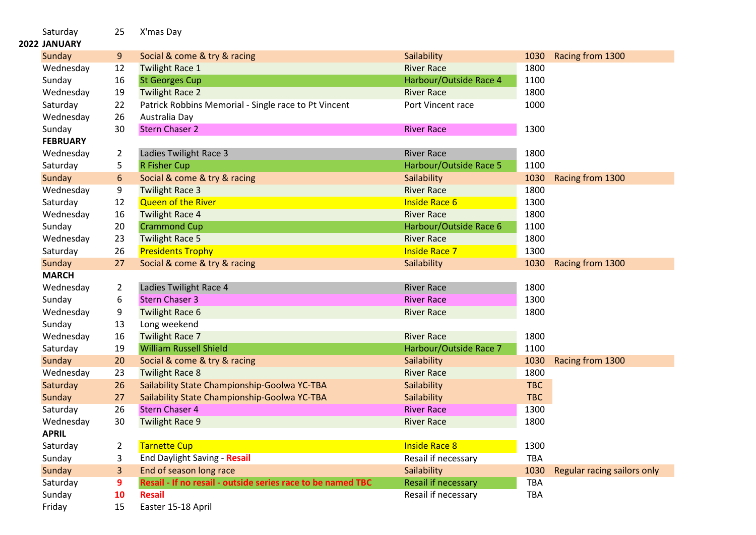| Saturday<br>2022 JANUARY | 25             | X'mas Day                                                   |                        |            |                             |
|--------------------------|----------------|-------------------------------------------------------------|------------------------|------------|-----------------------------|
| Sunday                   | 9              | Social & come & try & racing                                | Sailability            | 1030       | Racing from 1300            |
| Wednesday                | 12             | <b>Twilight Race 1</b>                                      | <b>River Race</b>      | 1800       |                             |
| Sunday                   | 16             | <b>St Georges Cup</b>                                       | Harbour/Outside Race 4 | 1100       |                             |
| Wednesday                | 19             | <b>Twilight Race 2</b>                                      | <b>River Race</b>      | 1800       |                             |
| Saturday                 | 22             | Patrick Robbins Memorial - Single race to Pt Vincent        | Port Vincent race      | 1000       |                             |
| Wednesday                | 26             | Australia Day                                               |                        |            |                             |
| Sunday                   | 30             | <b>Stern Chaser 2</b>                                       | <b>River Race</b>      | 1300       |                             |
| <b>FEBRUARY</b>          |                |                                                             |                        |            |                             |
| Wednesday                | $\overline{a}$ | Ladies Twilight Race 3                                      | <b>River Race</b>      | 1800       |                             |
| Saturday                 | 5              | <b>R Fisher Cup</b>                                         | Harbour/Outside Race 5 | 1100       |                             |
| Sunday                   | 6              | Social & come & try & racing                                | Sailability            | 1030       | Racing from 1300            |
| Wednesday                | 9              | <b>Twilight Race 3</b>                                      | <b>River Race</b>      | 1800       |                             |
| Saturday                 | 12             | <b>Queen of the River</b>                                   | <b>Inside Race 6</b>   | 1300       |                             |
| Wednesday                | 16             | <b>Twilight Race 4</b>                                      | <b>River Race</b>      | 1800       |                             |
| Sunday                   | 20             | <b>Crammond Cup</b>                                         | Harbour/Outside Race 6 | 1100       |                             |
| Wednesday                | 23             | <b>Twilight Race 5</b>                                      | <b>River Race</b>      | 1800       |                             |
| Saturday                 | 26             | <b>Presidents Trophy</b>                                    | <b>Inside Race 7</b>   | 1300       |                             |
| Sunday                   | 27             | Social & come & try & racing                                | Sailability            | 1030       | Racing from 1300            |
| <b>MARCH</b>             |                |                                                             |                        |            |                             |
| Wednesday                | $\overline{2}$ | Ladies Twilight Race 4                                      | <b>River Race</b>      | 1800       |                             |
| Sunday                   | 6              | <b>Stern Chaser 3</b>                                       | <b>River Race</b>      | 1300       |                             |
| Wednesday                | 9              | <b>Twilight Race 6</b>                                      | <b>River Race</b>      | 1800       |                             |
| Sunday                   | 13             | Long weekend                                                |                        |            |                             |
| Wednesday                | 16             | <b>Twilight Race 7</b>                                      | <b>River Race</b>      | 1800       |                             |
| Saturday                 | 19             | <b>William Russell Shield</b>                               | Harbour/Outside Race 7 | 1100       |                             |
| Sunday                   | 20             | Social & come & try & racing                                | Sailability            | 1030       | Racing from 1300            |
| Wednesday                | 23             | <b>Twilight Race 8</b>                                      | <b>River Race</b>      | 1800       |                             |
| Saturday                 | 26             | Sailability State Championship-Goolwa YC-TBA                | Sailability            | <b>TBC</b> |                             |
| Sunday                   | 27             | Sailability State Championship-Goolwa YC-TBA                | Sailability            | <b>TBC</b> |                             |
| Saturday                 | 26             | <b>Stern Chaser 4</b>                                       | <b>River Race</b>      | 1300       |                             |
| Wednesday                | 30             | <b>Twilight Race 9</b>                                      | <b>River Race</b>      | 1800       |                             |
| <b>APRIL</b>             |                |                                                             |                        |            |                             |
| Saturday                 | $\mathbf{2}$   | <b>Tarnette Cup</b>                                         | <b>Inside Race 8</b>   | 1300       |                             |
| Sunday                   | 3              | End Daylight Saving - Resail                                | Resail if necessary    | TBA        |                             |
| Sunday                   | 3 <sup>1</sup> | End of season long race                                     | Sailability            | 1030       | Regular racing sailors only |
| Saturday                 | 9              | Resail - If no resail - outside series race to be named TBC | Resail if necessary    | <b>TBA</b> |                             |
| Sunday                   | 10             | <b>Resail</b>                                               | Resail if necessary    | <b>TBA</b> |                             |
| Friday                   | 15             | Easter 15-18 April                                          |                        |            |                             |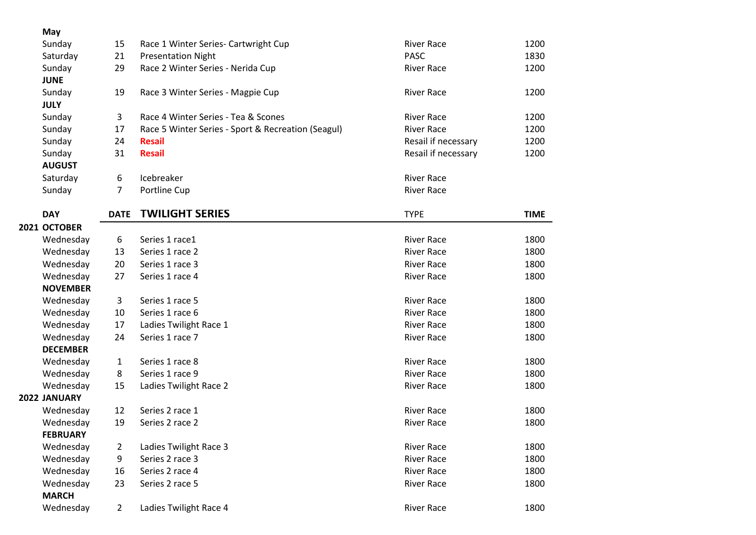| May             |                |                                                    |                     |             |
|-----------------|----------------|----------------------------------------------------|---------------------|-------------|
| Sunday          | 15             | Race 1 Winter Series- Cartwright Cup               | <b>River Race</b>   | 1200        |
| Saturday        | 21             | <b>Presentation Night</b>                          | <b>PASC</b>         | 1830        |
| Sunday          | 29             | Race 2 Winter Series - Nerida Cup                  | <b>River Race</b>   | 1200        |
| <b>JUNE</b>     |                |                                                    |                     |             |
| Sunday          | 19             | Race 3 Winter Series - Magpie Cup                  | <b>River Race</b>   | 1200        |
| <b>JULY</b>     |                |                                                    |                     |             |
| Sunday          | 3              | Race 4 Winter Series - Tea & Scones                | <b>River Race</b>   | 1200        |
| Sunday          | 17             | Race 5 Winter Series - Sport & Recreation (Seagul) | <b>River Race</b>   | 1200        |
| Sunday          | 24             | <b>Resail</b>                                      | Resail if necessary | 1200        |
| Sunday          | 31             | <b>Resail</b>                                      | Resail if necessary | 1200        |
| <b>AUGUST</b>   |                |                                                    |                     |             |
| Saturday        | 6              | Icebreaker                                         | <b>River Race</b>   |             |
| Sunday          | 7              | Portline Cup                                       | <b>River Race</b>   |             |
| <b>DAY</b>      | <b>DATE</b>    | <b>TWILIGHT SERIES</b>                             | <b>TYPE</b>         | <b>TIME</b> |
| 2021 OCTOBER    |                |                                                    |                     |             |
| Wednesday       | 6              | Series 1 race1                                     | <b>River Race</b>   | 1800        |
| Wednesday       | 13             | Series 1 race 2                                    | <b>River Race</b>   | 1800        |
| Wednesday       | 20             | Series 1 race 3                                    | <b>River Race</b>   | 1800        |
| Wednesday       | 27             | Series 1 race 4                                    | <b>River Race</b>   | 1800        |
| <b>NOVEMBER</b> |                |                                                    |                     |             |
| Wednesday       | 3              | Series 1 race 5                                    | <b>River Race</b>   | 1800        |
| Wednesday       | 10             | Series 1 race 6                                    | <b>River Race</b>   | 1800        |
| Wednesday       | 17             | Ladies Twilight Race 1                             | <b>River Race</b>   | 1800        |
| Wednesday       | 24             | Series 1 race 7                                    | <b>River Race</b>   | 1800        |
| <b>DECEMBER</b> |                |                                                    |                     |             |
| Wednesday       | 1              | Series 1 race 8                                    | <b>River Race</b>   | 1800        |
| Wednesday       | 8              | Series 1 race 9                                    | <b>River Race</b>   | 1800        |
| Wednesday       | 15             | Ladies Twilight Race 2                             | <b>River Race</b>   | 1800        |
| 2022 JANUARY    |                |                                                    |                     |             |
| Wednesday       | 12             | Series 2 race 1                                    | <b>River Race</b>   | 1800        |
| Wednesday       | 19             | Series 2 race 2                                    | <b>River Race</b>   | 1800        |
| <b>FEBRUARY</b> |                |                                                    |                     |             |
| Wednesday       | 2              | Ladies Twilight Race 3                             | <b>River Race</b>   | 1800        |
| Wednesday       | 9              | Series 2 race 3                                    | <b>River Race</b>   | 1800        |
| Wednesday       | 16             | Series 2 race 4                                    | <b>River Race</b>   | 1800        |
| Wednesday       | 23             | Series 2 race 5                                    | <b>River Race</b>   | 1800        |
| <b>MARCH</b>    |                |                                                    |                     |             |
| Wednesday       | $\overline{2}$ | Ladies Twilight Race 4                             | <b>River Race</b>   | 1800        |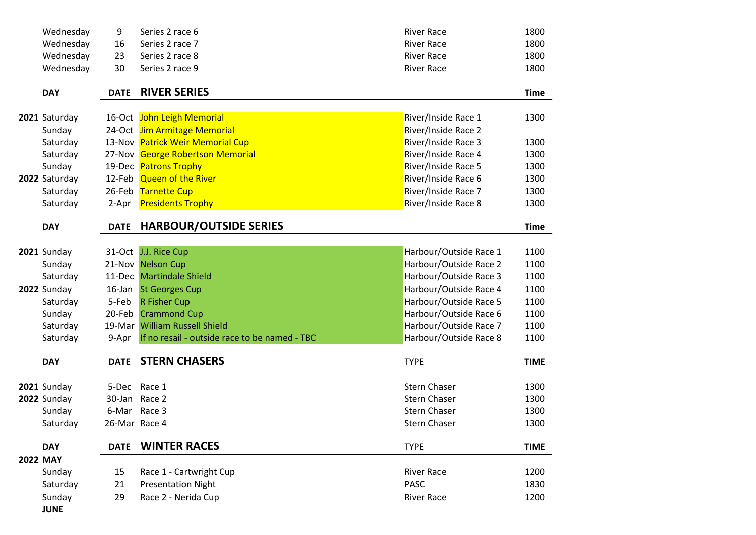| Wednesday          | 9             | Series 2 race 6                               | <b>River Race</b>      | 1800        |
|--------------------|---------------|-----------------------------------------------|------------------------|-------------|
| Wednesday          | 16            | Series 2 race 7                               | <b>River Race</b>      | 1800        |
| Wednesday          | 23            | Series 2 race 8                               | <b>River Race</b>      | 1800        |
| Wednesday          | 30            | Series 2 race 9                               | <b>River Race</b>      | 1800        |
| <b>DAY</b>         | <b>DATE</b>   | <b>RIVER SERIES</b>                           |                        | <b>Time</b> |
| 2021 Saturday      |               | 16-Oct John Leigh Memorial                    | River/Inside Race 1    | 1300        |
| Sunday             |               | 24-Oct Jim Armitage Memorial                  | River/Inside Race 2    |             |
| Saturday           |               | 13-Nov Patrick Weir Memorial Cup              | River/Inside Race 3    | 1300        |
| Saturday           |               | 27-Nov George Robertson Memorial              | River/Inside Race 4    | 1300        |
| Sunday             |               | 19-Dec Patrons Trophy                         | River/Inside Race 5    | 1300        |
| 2022 Saturday      |               | 12-Feb Queen of the River                     | River/Inside Race 6    | 1300        |
| Saturday           |               | 26-Feb Tarnette Cup                           | River/Inside Race 7    | 1300        |
| Saturday           |               | 2-Apr Presidents Trophy                       | River/Inside Race 8    | 1300        |
| <b>DAY</b>         | <b>DATE</b>   | <b>HARBOUR/OUTSIDE SERIES</b>                 |                        | <b>Time</b> |
|                    |               |                                               |                        |             |
| 2021 Sunday        |               | 31-Oct J.J. Rice Cup                          | Harbour/Outside Race 1 | 1100        |
| Sunday             |               | 21-Nov Nelson Cup                             | Harbour/Outside Race 2 | 1100        |
| Saturday           |               | 11-Dec Martindale Shield                      | Harbour/Outside Race 3 | 1100        |
| <b>2022</b> Sunday |               | 16-Jan St Georges Cup                         | Harbour/Outside Race 4 | 1100        |
| Saturday           | 5-Feb         | <b>R Fisher Cup</b>                           | Harbour/Outside Race 5 | 1100        |
| Sunday             |               | 20-Feb Crammond Cup                           | Harbour/Outside Race 6 | 1100        |
| Saturday           |               | 19-Mar William Russell Shield                 | Harbour/Outside Race 7 | 1100        |
| Saturday           | 9-Apr         | If no resail - outside race to be named - TBC | Harbour/Outside Race 8 | 1100        |
| <b>DAY</b>         | <b>DATE</b>   | <b>STERN CHASERS</b>                          | <b>TYPE</b>            | <b>TIME</b> |
| 2021 Sunday        |               | 5-Dec Race 1                                  | <b>Stern Chaser</b>    | 1300        |
| <b>2022</b> Sunday | 30-Jan Race 2 |                                               | <b>Stern Chaser</b>    | 1300        |
| Sunday             | 6-Mar Race 3  |                                               | <b>Stern Chaser</b>    | 1300        |
| Saturday           | 26-Mar Race 4 |                                               | <b>Stern Chaser</b>    | 1300        |
| <b>DAY</b>         | <b>DATE</b>   | <b>WINTER RACES</b>                           | <b>TYPE</b>            | <b>TIME</b> |
| <b>2022 MAY</b>    |               |                                               |                        |             |
| Sunday             | 15            | Race 1 - Cartwright Cup                       | <b>River Race</b>      | 1200        |
| Saturday           | 21            | <b>Presentation Night</b>                     | <b>PASC</b>            | 1830        |
| Sunday             | 29            | Race 2 - Nerida Cup                           | <b>River Race</b>      | 1200        |
| <b>JUNE</b>        |               |                                               |                        |             |